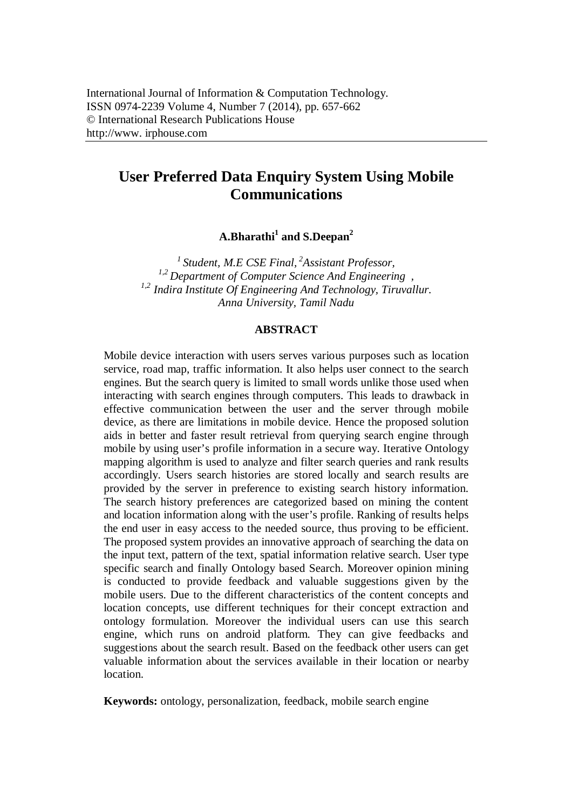# **User Preferred Data Enquiry System Using Mobile Communications**

**A.Bharathi<sup>1</sup> and S.Deepan<sup>2</sup>**

*<sup>1</sup>Student, M.E CSE Final, <sup>2</sup> Assistant Professor, 1,2 Department of Computer Science And Engineering , 1,2 Indira Institute Of Engineering And Technology, Tiruvallur. Anna University, Tamil Nadu*

## **ABSTRACT**

Mobile device interaction with users serves various purposes such as location service, road map, traffic information. It also helps user connect to the search engines. But the search query is limited to small words unlike those used when interacting with search engines through computers. This leads to drawback in effective communication between the user and the server through mobile device, as there are limitations in mobile device. Hence the proposed solution aids in better and faster result retrieval from querying search engine through mobile by using user's profile information in a secure way. Iterative Ontology mapping algorithm is used to analyze and filter search queries and rank results accordingly. Users search histories are stored locally and search results are provided by the server in preference to existing search history information. The search history preferences are categorized based on mining the content and location information along with the user's profile. Ranking of results helps the end user in easy access to the needed source, thus proving to be efficient. The proposed system provides an innovative approach of searching the data on the input text, pattern of the text, spatial information relative search. User type specific search and finally Ontology based Search. Moreover opinion mining is conducted to provide feedback and valuable suggestions given by the mobile users. Due to the different characteristics of the content concepts and location concepts, use different techniques for their concept extraction and ontology formulation. Moreover the individual users can use this search engine, which runs on android platform. They can give feedbacks and suggestions about the search result. Based on the feedback other users can get valuable information about the services available in their location or nearby location.

**Keywords:** ontology, personalization, feedback, mobile search engine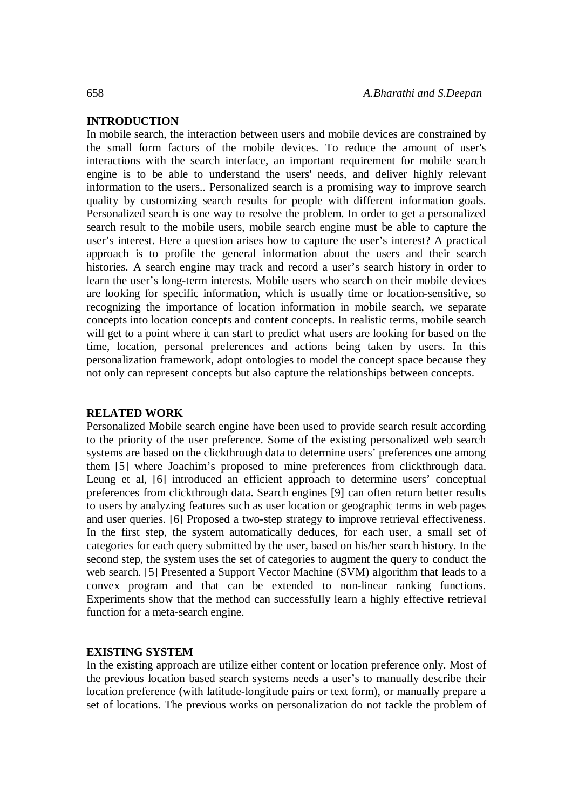# **INTRODUCTION**

In mobile search, the interaction between users and mobile devices are constrained by the small form factors of the mobile devices. To reduce the amount of user's interactions with the search interface, an important requirement for mobile search engine is to be able to understand the users' needs, and deliver highly relevant information to the users.. Personalized search is a promising way to improve search quality by customizing search results for people with different information goals. Personalized search is one way to resolve the problem. In order to get a personalized search result to the mobile users, mobile search engine must be able to capture the user's interest. Here a question arises how to capture the user's interest? A practical approach is to profile the general information about the users and their search histories. A search engine may track and record a user's search history in order to learn the user's long-term interests. Mobile users who search on their mobile devices are looking for specific information, which is usually time or location-sensitive, so recognizing the importance of location information in mobile search, we separate concepts into location concepts and content concepts. In realistic terms, mobile search will get to a point where it can start to predict what users are looking for based on the time, location, personal preferences and actions being taken by users. In this personalization framework, adopt ontologies to model the concept space because they not only can represent concepts but also capture the relationships between concepts.

### **RELATED WORK**

Personalized Mobile search engine have been used to provide search result according to the priority of the user preference. Some of the existing personalized web search systems are based on the clickthrough data to determine users' preferences one among them [5] where Joachim's proposed to mine preferences from clickthrough data. Leung et al, [6] introduced an efficient approach to determine users' conceptual preferences from clickthrough data. Search engines [9] can often return better results to users by analyzing features such as user location or geographic terms in web pages and user queries. [6] Proposed a two-step strategy to improve retrieval effectiveness. In the first step, the system automatically deduces, for each user, a small set of categories for each query submitted by the user, based on his/her search history. In the second step, the system uses the set of categories to augment the query to conduct the web search. [5] Presented a Support Vector Machine (SVM) algorithm that leads to a convex program and that can be extended to non-linear ranking functions. Experiments show that the method can successfully learn a highly effective retrieval function for a meta-search engine.

# **EXISTING SYSTEM**

In the existing approach are utilize either content or location preference only. Most of the previous location based search systems needs a user's to manually describe their location preference (with latitude-longitude pairs or text form), or manually prepare a set of locations. The previous works on personalization do not tackle the problem of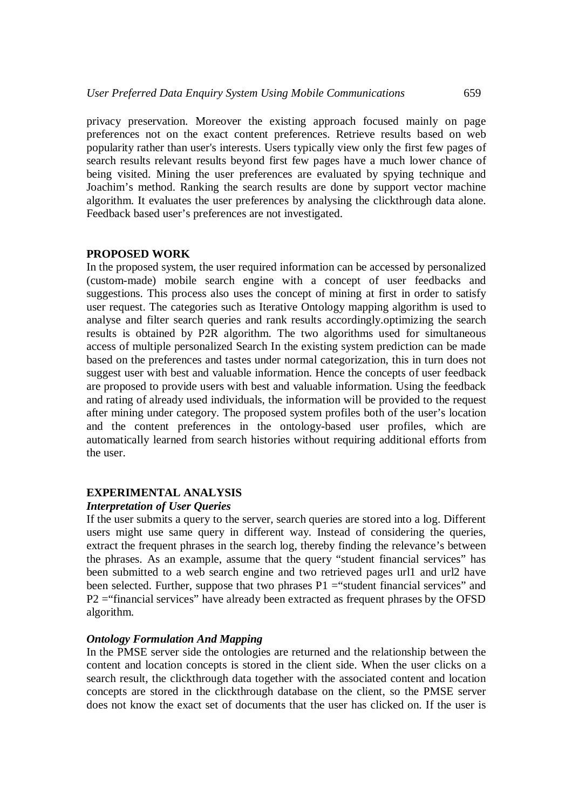privacy preservation. Moreover the existing approach focused mainly on page preferences not on the exact content preferences. Retrieve results based on web popularity rather than user's interests. Users typically view only the first few pages of search results relevant results beyond first few pages have a much lower chance of being visited. Mining the user preferences are evaluated by spying technique and Joachim's method. Ranking the search results are done by support vector machine algorithm. It evaluates the user preferences by analysing the clickthrough data alone. Feedback based user's preferences are not investigated.

#### **PROPOSED WORK**

In the proposed system, the user required information can be accessed by personalized (custom-made) mobile search engine with a concept of user feedbacks and suggestions. This process also uses the concept of mining at first in order to satisfy user request. The categories such as Iterative Ontology mapping algorithm is used to analyse and filter search queries and rank results accordingly.optimizing the search results is obtained by P2R algorithm. The two algorithms used for simultaneous access of multiple personalized Search In the existing system prediction can be made based on the preferences and tastes under normal categorization, this in turn does not suggest user with best and valuable information. Hence the concepts of user feedback are proposed to provide users with best and valuable information. Using the feedback and rating of already used individuals, the information will be provided to the request after mining under category. The proposed system profiles both of the user's location and the content preferences in the ontology-based user profiles, which are automatically learned from search histories without requiring additional efforts from the user.

# **EXPERIMENTAL ANALYSIS**

#### *Interpretation of User Queries*

If the user submits a query to the server, search queries are stored into a log. Different users might use same query in different way. Instead of considering the queries, extract the frequent phrases in the search log, thereby finding the relevance's between the phrases. As an example, assume that the query "student financial services" has been submitted to a web search engine and two retrieved pages url1 and url2 have been selected. Further, suppose that two phrases  $P1 =$ "student financial services" and P2 ="financial services" have already been extracted as frequent phrases by the OFSD algorithm.

#### *Ontology Formulation And Mapping*

In the PMSE server side the ontologies are returned and the relationship between the content and location concepts is stored in the client side. When the user clicks on a search result, the clickthrough data together with the associated content and location concepts are stored in the clickthrough database on the client, so the PMSE server does not know the exact set of documents that the user has clicked on. If the user is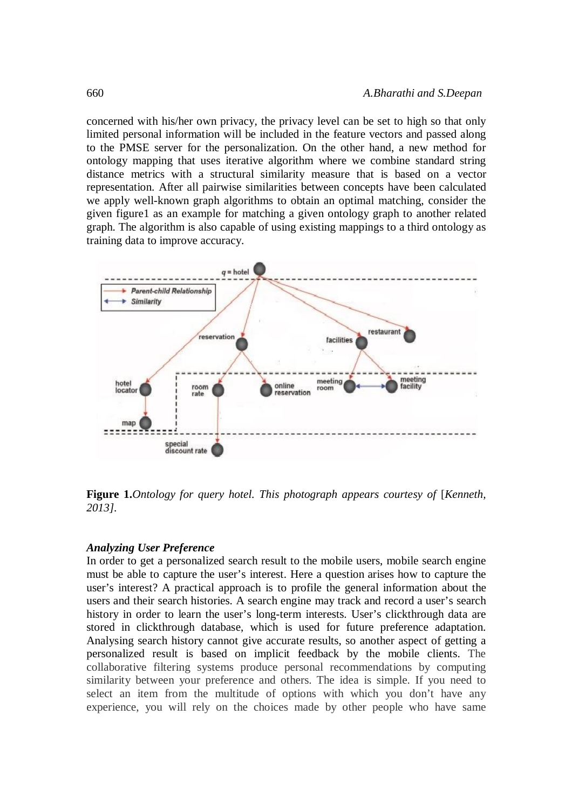concerned with his/her own privacy, the privacy level can be set to high so that only limited personal information will be included in the feature vectors and passed along to the PMSE server for the personalization. On the other hand, a new method for ontology mapping that uses iterative algorithm where we combine standard string distance metrics with a structural similarity measure that is based on a vector representation. After all pairwise similarities between concepts have been calculated we apply well-known graph algorithms to obtain an optimal matching, consider the given figure1 as an example for matching a given ontology graph to another related graph. The algorithm is also capable of using existing mappings to a third ontology as training data to improve accuracy.



**Figure 1.***Ontology for query hotel. This photograph appears courtesy of* [*Kenneth, 2013].*

### *Analyzing User Preference*

In order to get a personalized search result to the mobile users, mobile search engine must be able to capture the user's interest. Here a question arises how to capture the user's interest? A practical approach is to profile the general information about the users and their search histories. A search engine may track and record a user's search history in order to learn the user's long-term interests. User's clickthrough data are stored in clickthrough database, which is used for future preference adaptation. Analysing search history cannot give accurate results, so another aspect of getting a personalized result is based on implicit feedback by the mobile clients. The collaborative filtering systems produce personal recommendations by computing similarity between your preference and others. The idea is simple. If you need to select an item from the multitude of options with which you don't have any experience, you will rely on the choices made by other people who have same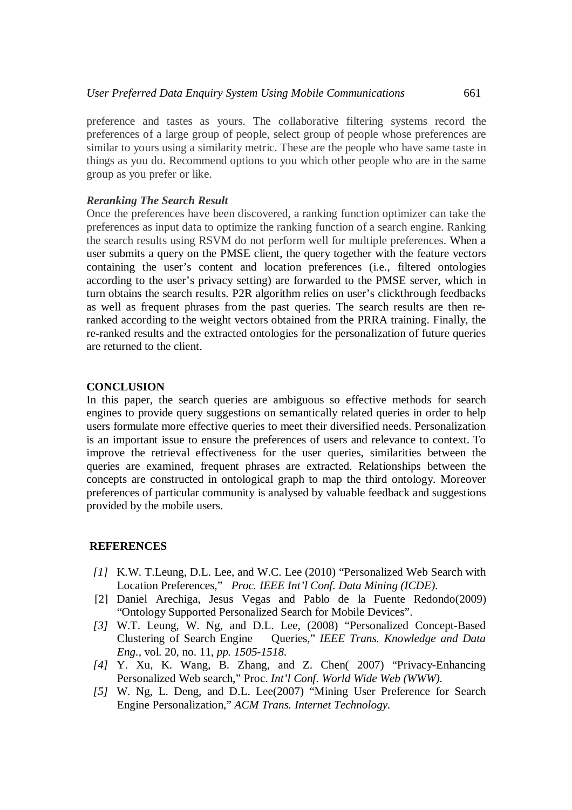preference and tastes as yours. The collaborative filtering systems record the preferences of a large group of people, select group of people whose preferences are similar to yours using a similarity metric. These are the people who have same taste in things as you do. Recommend options to you which other people who are in the same group as you prefer or like.

## *Reranking The Search Result*

Once the preferences have been discovered, a ranking function optimizer can take the preferences as input data to optimize the ranking function of a search engine. Ranking the search results using RSVM do not perform well for multiple preferences. When a user submits a query on the PMSE client, the query together with the feature vectors containing the user's content and location preferences (i.e., filtered ontologies according to the user's privacy setting) are forwarded to the PMSE server, which in turn obtains the search results. P2R algorithm relies on user's clickthrough feedbacks as well as frequent phrases from the past queries. The search results are then reranked according to the weight vectors obtained from the PRRA training. Finally, the re-ranked results and the extracted ontologies for the personalization of future queries are returned to the client.

# **CONCLUSION**

In this paper, the search queries are ambiguous so effective methods for search engines to provide query suggestions on semantically related queries in order to help users formulate more effective queries to meet their diversified needs. Personalization is an important issue to ensure the preferences of users and relevance to context. To improve the retrieval effectiveness for the user queries, similarities between the queries are examined, frequent phrases are extracted. Relationships between the concepts are constructed in ontological graph to map the third ontology. Moreover preferences of particular community is analysed by valuable feedback and suggestions provided by the mobile users.

### **REFERENCES**

- *[1]* K.W. T.Leung, D.L. Lee, and W.C. Lee (2010) "Personalized Web Search with Location Preferences," *Proc. IEEE Int'l Conf. Data Mining (ICDE).*
- [2] Daniel Arechiga, Jesus Vegas and Pablo de la Fuente Redondo(2009) "Ontology Supported Personalized Search for Mobile Devices".
- *[3]* W.T. Leung, W. Ng, and D.L. Lee, (2008) "Personalized Concept-Based Clustering of Search Engine Queries," *IEEE Trans. Knowledge and Data Eng.*, vol. 20, no. 11*, pp. 1505-1518.*
- *[4]* Y. Xu, K. Wang, B. Zhang, and Z. Chen( 2007) "Privacy-Enhancing Personalized Web search," Proc. *Int'l Conf. World Wide Web (WWW).*
- *[5]* W. Ng, L. Deng, and D.L. Lee(2007) "Mining User Preference for Search Engine Personalization," *ACM Trans. Internet Technology.*